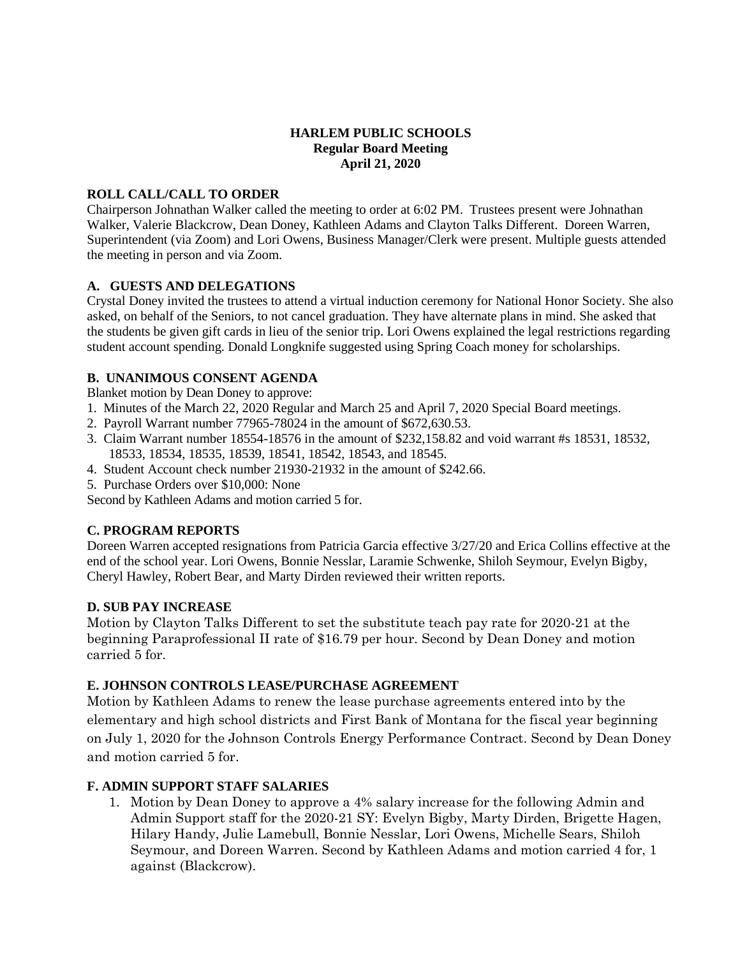### **HARLEM PUBLIC SCHOOLS Regular Board Meeting April 21, 2020**

### **ROLL CALL/CALL TO ORDER**

Chairperson Johnathan Walker called the meeting to order at 6:02 PM. Trustees present were Johnathan Walker, Valerie Blackcrow, Dean Doney, Kathleen Adams and Clayton Talks Different. Doreen Warren, Superintendent (via Zoom) and Lori Owens, Business Manager/Clerk were present. Multiple guests attended the meeting in person and via Zoom.

### **A. GUESTS AND DELEGATIONS**

Crystal Doney invited the trustees to attend a virtual induction ceremony for National Honor Society. She also asked, on behalf of the Seniors, to not cancel graduation. They have alternate plans in mind. She asked that the students be given gift cards in lieu of the senior trip. Lori Owens explained the legal restrictions regarding student account spending. Donald Longknife suggested using Spring Coach money for scholarships.

### **B. UNANIMOUS CONSENT AGENDA**

Blanket motion by Dean Doney to approve:

- 1. Minutes of the March 22, 2020 Regular and March 25 and April 7, 2020 Special Board meetings.
- 2. Payroll Warrant number 77965-78024 in the amount of \$672,630.53.
- 3. Claim Warrant number 18554-18576 in the amount of \$232,158.82 and void warrant #s 18531, 18532, 18533, 18534, 18535, 18539, 18541, 18542, 18543, and 18545.
- 4. Student Account check number 21930-21932 in the amount of \$242.66.
- 5. Purchase Orders over \$10,000: None

Second by Kathleen Adams and motion carried 5 for.

# **C. PROGRAM REPORTS**

Doreen Warren accepted resignations from Patricia Garcia effective 3/27/20 and Erica Collins effective at the end of the school year. Lori Owens, Bonnie Nesslar, Laramie Schwenke, Shiloh Seymour, Evelyn Bigby, Cheryl Hawley, Robert Bear, and Marty Dirden reviewed their written reports.

# **D. SUB PAY INCREASE**

Motion by Clayton Talks Different to set the substitute teach pay rate for 2020-21 at the beginning Paraprofessional II rate of \$16.79 per hour. Second by Dean Doney and motion carried 5 for.

# **E. JOHNSON CONTROLS LEASE/PURCHASE AGREEMENT**

Motion by Kathleen Adams to renew the lease purchase agreements entered into by the elementary and high school districts and First Bank of Montana for the fiscal year beginning on July 1, 2020 for the Johnson Controls Energy Performance Contract. Second by Dean Doney and motion carried 5 for.

# **F. ADMIN SUPPORT STAFF SALARIES**

1. Motion by Dean Doney to approve a 4% salary increase for the following Admin and Admin Support staff for the 2020-21 SY: Evelyn Bigby, Marty Dirden, Brigette Hagen, Hilary Handy, Julie Lamebull, Bonnie Nesslar, Lori Owens, Michelle Sears, Shiloh Seymour, and Doreen Warren. Second by Kathleen Adams and motion carried 4 for, 1 against (Blackcrow).